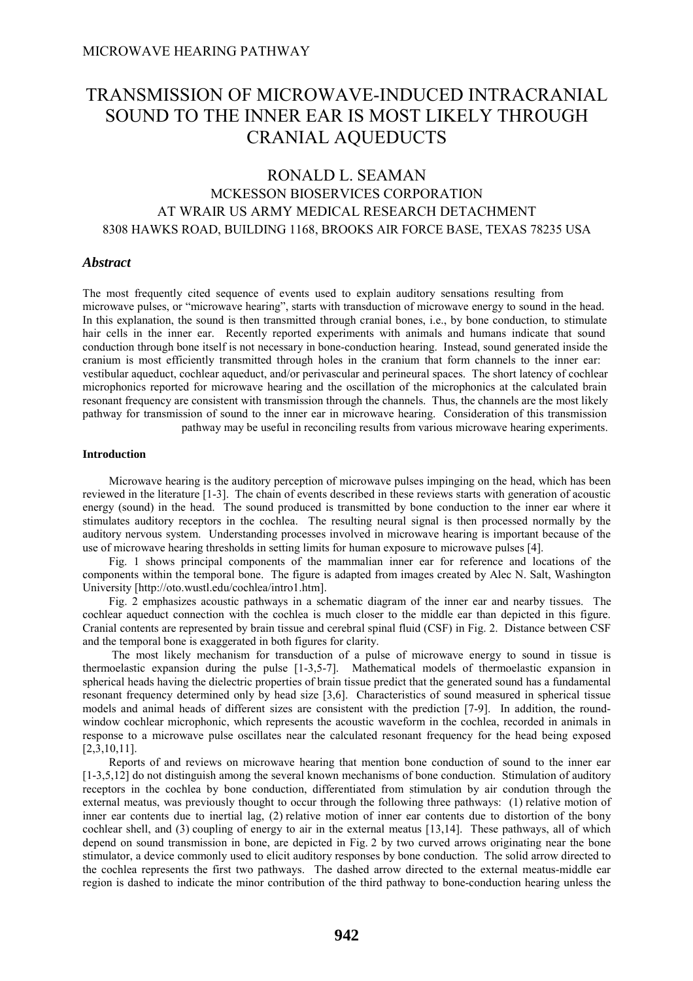# TRANSMISSION OF MICROWAVE-INDUCED INTRACRANIAL SOUND TO THE INNER EAR IS MOST LIKELY THROUGH CRANIAL AQUEDUCTS

## RONALD L. SEAMAN MCKESSON BIOSERVICES CORPORATION AT WRAIR US ARMY MEDICAL RESEARCH DETACHMENT 8308 HAWKS ROAD, BUILDING 1168, BROOKS AIR FORCE BASE, TEXAS 78235 USA

## *Abstract*

The most frequently cited sequence of events used to explain auditory sensations resulting from microwave pulses, or "microwave hearing", starts with transduction of microwave energy to sound in the head. In this explanation, the sound is then transmitted through cranial bones, i.e., by bone conduction, to stimulate hair cells in the inner ear. Recently reported experiments with animals and humans indicate that sound conduction through bone itself is not necessary in bone-conduction hearing. Instead, sound generated inside the cranium is most efficiently transmitted through holes in the cranium that form channels to the inner ear: vestibular aqueduct, cochlear aqueduct, and/or perivascular and perineural spaces. The short latency of cochlear microphonics reported for microwave hearing and the oscillation of the microphonics at the calculated brain resonant frequency are consistent with transmission through the channels. Thus, the channels are the most likely pathway for transmission of sound to the inner ear in microwave hearing. Consideration of this transmission pathway may be useful in reconciling results from various microwave hearing experiments.

#### **Introduction**

 Microwave hearing is the auditory perception of microwave pulses impinging on the head, which has been reviewed in the literature [1-3]. The chain of events described in these reviews starts with generation of acoustic energy (sound) in the head. The sound produced is transmitted by bone conduction to the inner ear where it stimulates auditory receptors in the cochlea. The resulting neural signal is then processed normally by the auditory nervous system. Understanding processes involved in microwave hearing is important because of the use of microwave hearing thresholds in setting limits for human exposure to microwave pulses [4].

 Fig. 1 shows principal components of the mammalian inner ear for reference and locations of the components within the temporal bone. The figure is adapted from images created by Alec N. Salt, Washington University [http://oto.wustl.edu/cochlea/intro1.htm].

 Fig. 2 emphasizes acoustic pathways in a schematic diagram of the inner ear and nearby tissues. The cochlear aqueduct connection with the cochlea is much closer to the middle ear than depicted in this figure. Cranial contents are represented by brain tissue and cerebral spinal fluid (CSF) in Fig. 2. Distance between CSF and the temporal bone is exaggerated in both figures for clarity.

 The most likely mechanism for transduction of a pulse of microwave energy to sound in tissue is thermoelastic expansion during the pulse [1-3,5-7]. Mathematical models of thermoelastic expansion in spherical heads having the dielectric properties of brain tissue predict that the generated sound has a fundamental resonant frequency determined only by head size [3,6]. Characteristics of sound measured in spherical tissue models and animal heads of different sizes are consistent with the prediction [7-9]. In addition, the roundwindow cochlear microphonic, which represents the acoustic waveform in the cochlea, recorded in animals in response to a microwave pulse oscillates near the calculated resonant frequency for the head being exposed [2,3,10,11].

 Reports of and reviews on microwave hearing that mention bone conduction of sound to the inner ear [1-3,5,12] do not distinguish among the several known mechanisms of bone conduction. Stimulation of auditory receptors in the cochlea by bone conduction, differentiated from stimulation by air condution through the external meatus, was previously thought to occur through the following three pathways: (1) relative motion of inner ear contents due to inertial lag, (2) relative motion of inner ear contents due to distortion of the bony cochlear shell, and (3) coupling of energy to air in the external meatus [13,14]. These pathways, all of which depend on sound transmission in bone, are depicted in Fig. 2 by two curved arrows originating near the bone stimulator, a device commonly used to elicit auditory responses by bone conduction. The solid arrow directed to the cochlea represents the first two pathways. The dashed arrow directed to the external meatus-middle ear region is dashed to indicate the minor contribution of the third pathway to bone-conduction hearing unless the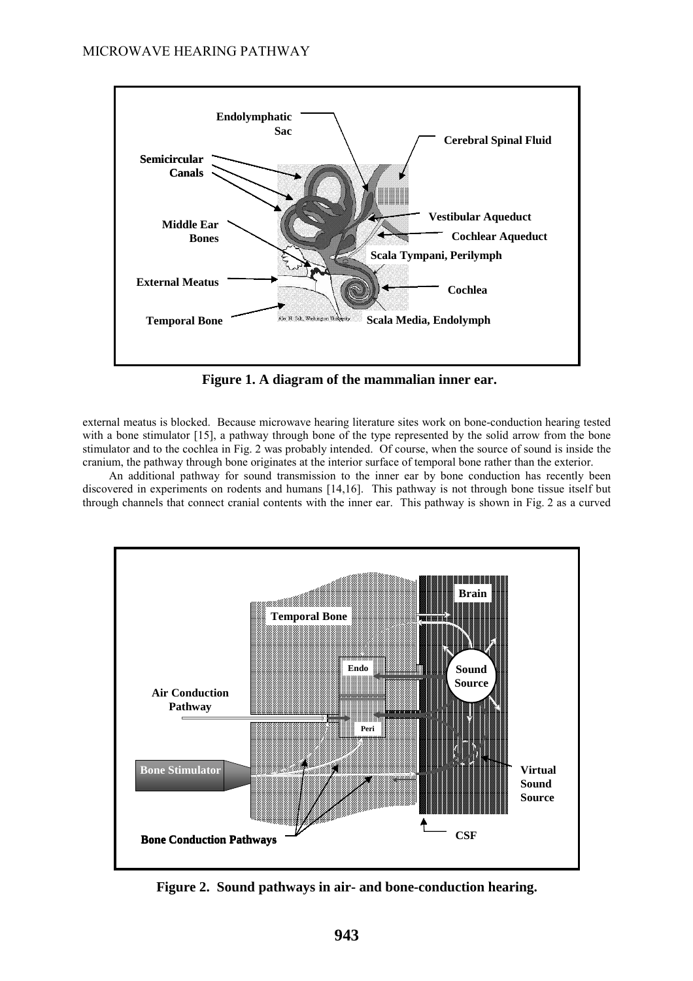

**Figure 1. A diagram of the mammalian inner ear.**

external meatus is blocked. Because microwave hearing literature sites work on bone-conduction hearing tested with a bone stimulator [15], a pathway through bone of the type represented by the solid arrow from the bone stimulator and to the cochlea in Fig. 2 was probably intended. Of course, when the source of sound is inside the cranium, the pathway through bone originates at the interior surface of temporal bone rather than the exterior.

 An additional pathway for sound transmission to the inner ear by bone conduction has recently been discovered in experiments on rodents and humans [14,16]. This pathway is not through bone tissue itself but through channels that connect cranial contents with the inner ear. This pathway is shown in Fig. 2 as a curved



**Figure 2. Sound pathways in air- and bone-conduction hearing.**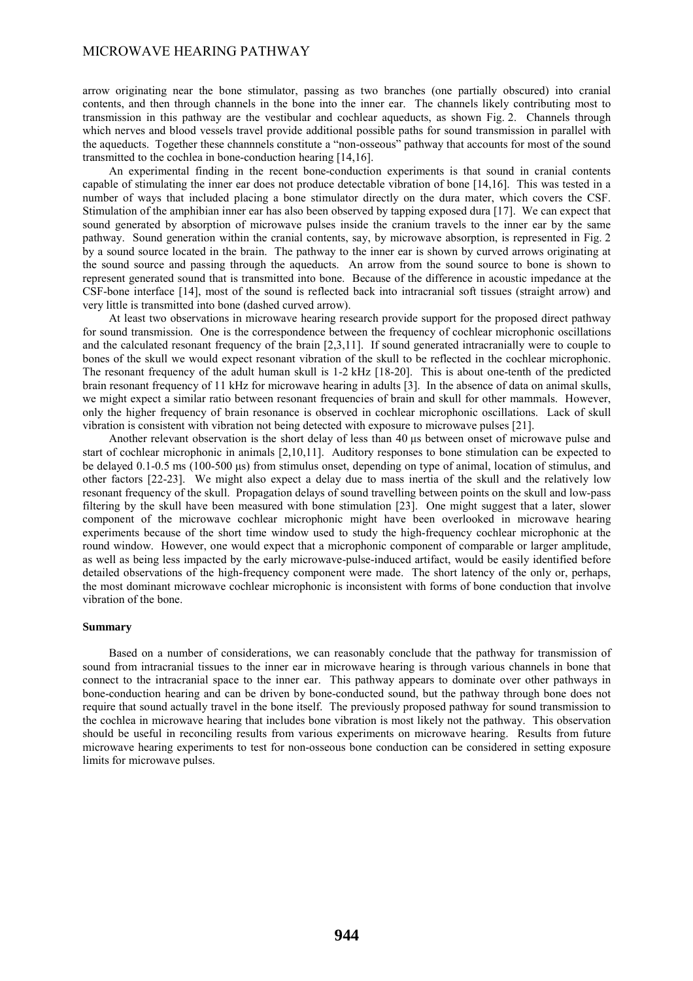## MICROWAVE HEARING PATHWAY

arrow originating near the bone stimulator, passing as two branches (one partially obscured) into cranial contents, and then through channels in the bone into the inner ear. The channels likely contributing most to transmission in this pathway are the vestibular and cochlear aqueducts, as shown Fig. 2. Channels through which nerves and blood vessels travel provide additional possible paths for sound transmission in parallel with the aqueducts. Together these channnels constitute a "non-osseous" pathway that accounts for most of the sound transmitted to the cochlea in bone-conduction hearing [14,16].

 An experimental finding in the recent bone-conduction experiments is that sound in cranial contents capable of stimulating the inner ear does not produce detectable vibration of bone [14,16]. This was tested in a number of ways that included placing a bone stimulator directly on the dura mater, which covers the CSF. Stimulation of the amphibian inner ear has also been observed by tapping exposed dura [17]. We can expect that sound generated by absorption of microwave pulses inside the cranium travels to the inner ear by the same pathway. Sound generation within the cranial contents, say, by microwave absorption, is represented in Fig. 2 by a sound source located in the brain. The pathway to the inner ear is shown by curved arrows originating at the sound source and passing through the aqueducts. An arrow from the sound source to bone is shown to represent generated sound that is transmitted into bone. Because of the difference in acoustic impedance at the CSF-bone interface [14], most of the sound is reflected back into intracranial soft tissues (straight arrow) and very little is transmitted into bone (dashed curved arrow).

 At least two observations in microwave hearing research provide support for the proposed direct pathway for sound transmission. One is the correspondence between the frequency of cochlear microphonic oscillations and the calculated resonant frequency of the brain [2,3,11]. If sound generated intracranially were to couple to bones of the skull we would expect resonant vibration of the skull to be reflected in the cochlear microphonic. The resonant frequency of the adult human skull is 1-2 kHz [18-20]. This is about one-tenth of the predicted brain resonant frequency of 11 kHz for microwave hearing in adults [3]. In the absence of data on animal skulls, we might expect a similar ratio between resonant frequencies of brain and skull for other mammals. However, only the higher frequency of brain resonance is observed in cochlear microphonic oscillations. Lack of skull vibration is consistent with vibration not being detected with exposure to microwave pulses [21].

 Another relevant observation is the short delay of less than 40 μs between onset of microwave pulse and start of cochlear microphonic in animals [2,10,11]. Auditory responses to bone stimulation can be expected to be delayed 0.1-0.5 ms (100-500 μs) from stimulus onset, depending on type of animal, location of stimulus, and other factors [22-23]. We might also expect a delay due to mass inertia of the skull and the relatively low resonant frequency of the skull. Propagation delays of sound travelling between points on the skull and low-pass filtering by the skull have been measured with bone stimulation [23]. One might suggest that a later, slower component of the microwave cochlear microphonic might have been overlooked in microwave hearing experiments because of the short time window used to study the high-frequency cochlear microphonic at the round window. However, one would expect that a microphonic component of comparable or larger amplitude, as well as being less impacted by the early microwave-pulse-induced artifact, would be easily identified before detailed observations of the high-frequency component were made. The short latency of the only or, perhaps, the most dominant microwave cochlear microphonic is inconsistent with forms of bone conduction that involve vibration of the bone.

#### **Summary**

 Based on a number of considerations, we can reasonably conclude that the pathway for transmission of sound from intracranial tissues to the inner ear in microwave hearing is through various channels in bone that connect to the intracranial space to the inner ear. This pathway appears to dominate over other pathways in bone-conduction hearing and can be driven by bone-conducted sound, but the pathway through bone does not require that sound actually travel in the bone itself. The previously proposed pathway for sound transmission to the cochlea in microwave hearing that includes bone vibration is most likely not the pathway. This observation should be useful in reconciling results from various experiments on microwave hearing. Results from future microwave hearing experiments to test for non-osseous bone conduction can be considered in setting exposure limits for microwave pulses.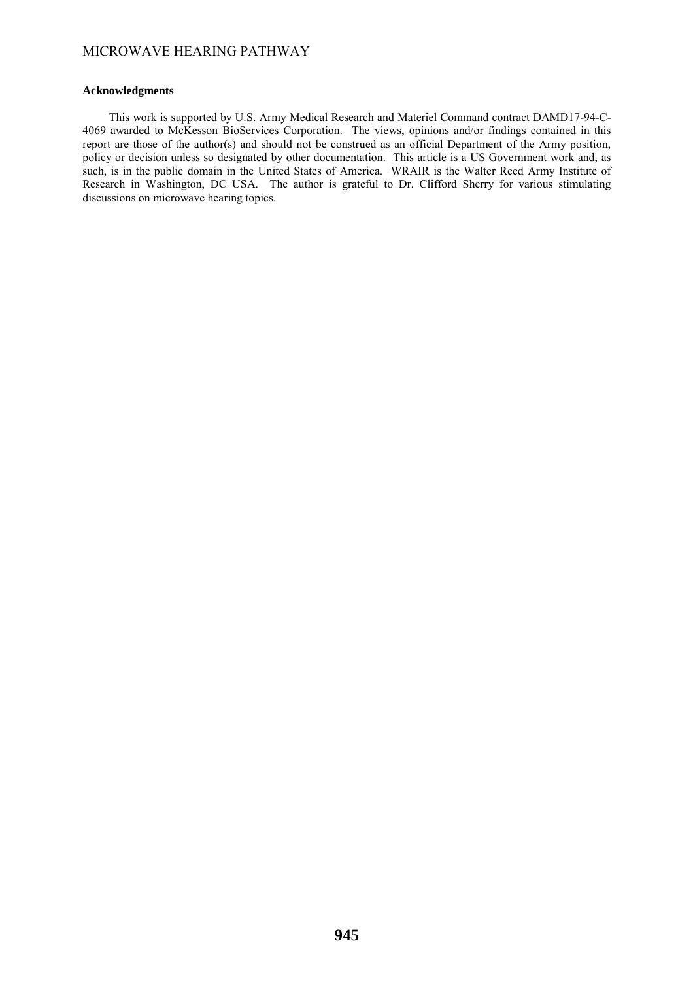## **Acknowledgments**

 This work is supported by U.S. Army Medical Research and Materiel Command contract DAMD17-94-C-4069 awarded to McKesson BioServices Corporation. The views, opinions and/or findings contained in this report are those of the author(s) and should not be construed as an official Department of the Army position, policy or decision unless so designated by other documentation. This article is a US Government work and, as such, is in the public domain in the United States of America. WRAIR is the Walter Reed Army Institute of Research in Washington, DC USA. The author is grateful to Dr. Clifford Sherry for various stimulating discussions on microwave hearing topics.